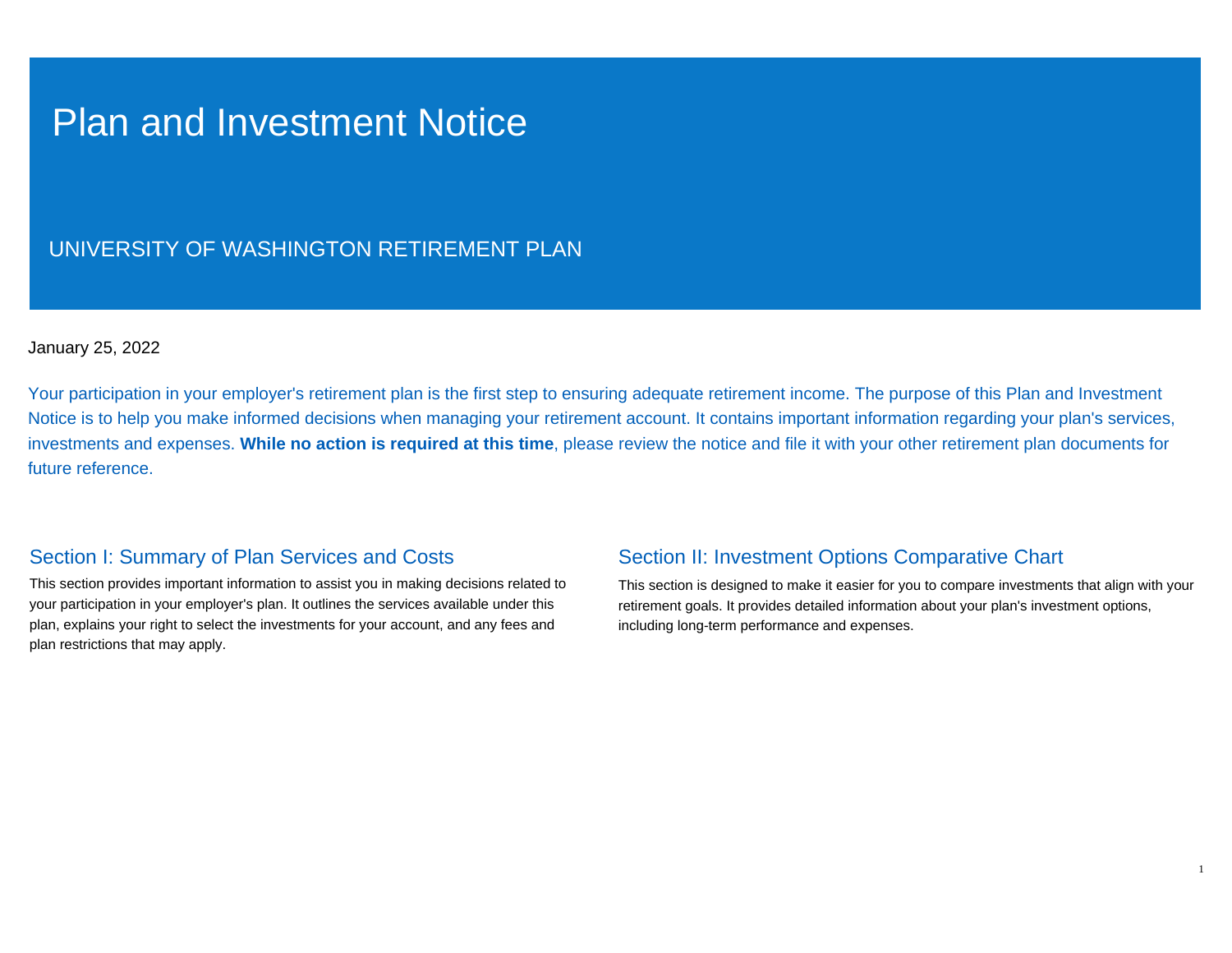## Plan and Investment Notice

## UNIVERSITY OF WASHINGTON RETIREMENT PLAN

## January 25, 2022

Your participation in your employer's retirement plan is the first step to ensuring adequate retirement income. The purpose of this Plan and Investment Notice is to help you make informed decisions when managing your retirement account. It contains important information regarding your plan's services, investments and expenses. **While no action is required at this time**, please review the notice and file it with your other retirement plan documents for future reference.

## Section I: Summary of Plan Services and Costs

This section provides important information to assist you in making decisions related to your participation in your employer's plan. It outlines the services available under this plan, explains your right to select the investments for your account, and any fees and plan restrictions that may apply.

## Section II: Investment Options Comparative Chart

This section is designed to make it easier for you to compare investments that align with your retirement goals. It provides detailed information about your plan's investment options, including long-term performance and expenses.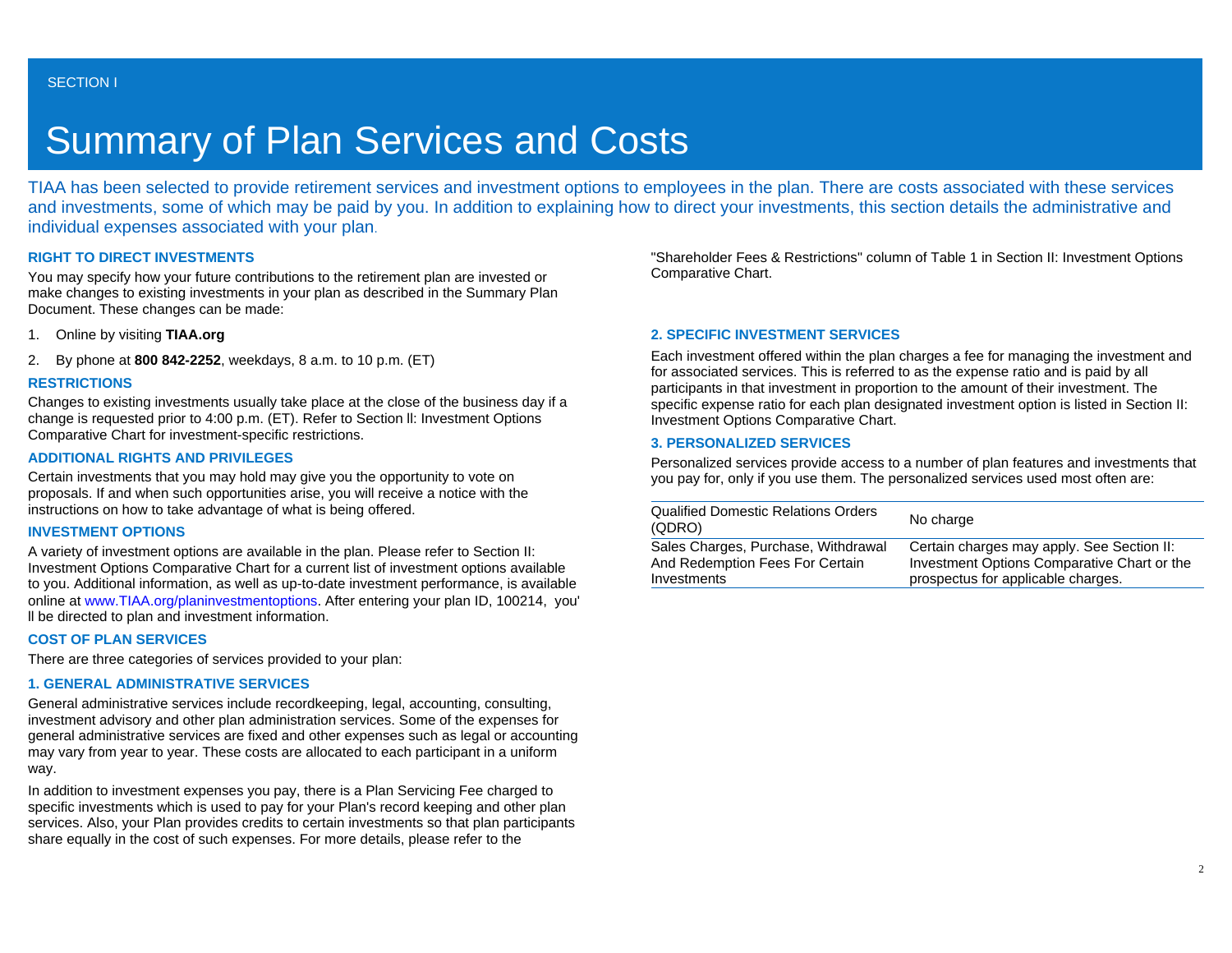# Summary of Plan Services and Costs

TIAA has been selected to provide retirement services and investment options to employees in the plan. There are costs associated with these services and investments, some of which may be paid by you. In addition to explaining how to direct your investments, this section details the administrative and individual expenses associated with your plan.

### **RIGHT TO DIRECT INVESTMENTS**

You may specify how your future contributions to the retirement plan are invested or make changes to existing investments in your plan as described in the Summary Plan Document. These changes can be made:

- 1. Online by visiting **TIAA.org**
- 2. By phone at **800 842-2252**, weekdays, 8 a.m. to 10 p.m. (ET)

### **RESTRICTIONS**

Changes to existing investments usually take place at the close of the business day if a change is requested prior to 4:00 p.m. (ET). Refer to Section ll: Investment Options Comparative Chart for investment-specific restrictions.

### **ADDITIONAL RIGHTS AND PRIVILEGES**

Certain investments that you may hold may give you the opportunity to vote on proposals. If and when such opportunities arise, you will receive a notice with the instructions on how to take advantage of what is being offered.

#### **INVESTMENT OPTIONS**

A variety of investment options are available in the plan. Please refer to Section II: Investment Options Comparative Chart for a current list of investment options available to you. Additional information, as well as up-to-date investment performance, is available online at [www.TIAA.org/planinvestmentoptions](http://www.tiaa-cref.org/planinvestmentoptions). After entering your plan ID, 100214, you' ll be directed to plan and investment information.

### **COST OF PLAN SERVICES**

There are three categories of services provided to your plan:

## **1. GENERAL ADMINISTRATIVE SERVICES**

General administrative services include recordkeeping, legal, accounting, consulting, investment advisory and other plan administration services. Some of the expenses for general administrative services are fixed and other expenses such as legal or accounting may vary from year to year. These costs are allocated to each participant in a uniform way.

In addition to investment expenses you pay, there is a Plan Servicing Fee charged to specific investments which is used to pay for your Plan's record keeping and other plan services. Also, your Plan provides credits to certain investments so that plan participants share equally in the cost of such expenses. For more details, please refer to the

"Shareholder Fees & Restrictions" column of Table 1 in Section II: Investment Options Comparative Chart.

## **2. SPECIFIC INVESTMENT SERVICES**

Each investment offered within the plan charges a fee for managing the investment and for associated services. This is referred to as the expense ratio and is paid by all participants in that investment in proportion to the amount of their investment. The specific expense ratio for each plan designated investment option is listed in Section II: Investment Options Comparative Chart.

### **3. PERSONALIZED SERVICES**

Personalized services provide access to a number of plan features and investments that you pay for, only if you use them. The personalized services used most often are:

| <b>Qualified Domestic Relations Orders</b><br>(QDRO) | No charge                                   |
|------------------------------------------------------|---------------------------------------------|
| Sales Charges, Purchase, Withdrawal                  | Certain charges may apply. See Section II:  |
| And Redemption Fees For Certain                      | Investment Options Comparative Chart or the |
| Investments                                          | prospectus for applicable charges.          |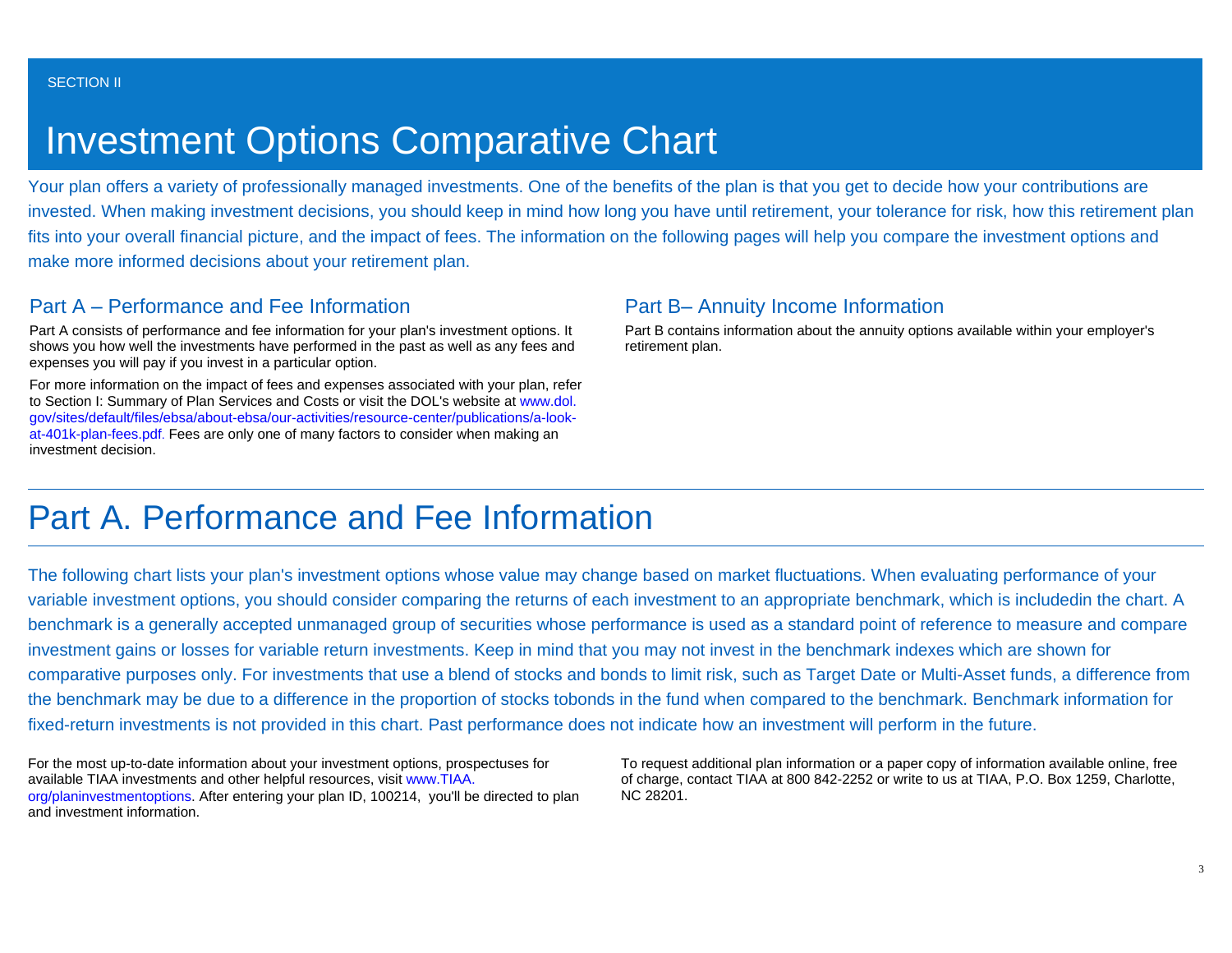# Investment Options Comparative Chart

Your plan offers a variety of professionally managed investments. One of the benefits of the plan is that you get to decide how your contributions are invested. When making investment decisions, you should keep in mind how long you have until retirement, your tolerance for risk, how this retirement plan fits into your overall financial picture, and the impact of fees. The information on the following pages will help you compare the investment options and make more informed decisions about your retirement plan.

## Part A – Performance and Fee Information

Part A consists of performance and fee information for your plan's investment options. It shows you how well the investments have performed in the past as well as any fees and expenses you will pay if you invest in a particular option.

For more information on the impact of fees and expenses associated with your plan, refer to Section I: Summary of Plan Services and Costs or visit the DOL's website at [www.dol.](http://www.dol.gov/sites/default/files/ebsa/about-ebsa/our-activities/resource-center/publications/a-look-at-401k-plan-fees.pdf) [gov/sites/default/files/ebsa/about-ebsa/our-activities/resource-center/publications/a-look](http://www.dol.gov/sites/default/files/ebsa/about-ebsa/our-activities/resource-center/publications/a-look-at-401k-plan-fees.pdf)[at-401k-plan-fees.pdf](http://www.dol.gov/sites/default/files/ebsa/about-ebsa/our-activities/resource-center/publications/a-look-at-401k-plan-fees.pdf). Fees are only one of many factors to consider when making an investment decision.

## Part B– Annuity Income Information

Part B contains information about the annuity options available within your employer's retirement plan.

## Part A. Performance and Fee Information

The following chart lists your plan's investment options whose value may change based on market fluctuations. When evaluating performance of your variable investment options, you should consider comparing the returns of each investment to an appropriate benchmark, which is includedin the chart. A benchmark is a generally accepted unmanaged group of securities whose performance is used as a standard point of reference to measure and compare investment gains or losses for variable return investments. Keep in mind that you may not invest in the benchmark indexes which are shown for comparative purposes only. For investments that use a blend of stocks and bonds to limit risk, such as Target Date or Multi-Asset funds, a difference from the benchmark may be due to a difference in the proportion of stocks tobonds in the fund when compared to the benchmark. Benchmark information for fixed-return investments is not provided in this chart. Past performance does not indicate how an investment will perform in the future.

For the most up-to-date information about your investment options, prospectuses for available TIAA investments and other helpful resources, visit [www.TIAA.](http://www.tiaa-cref.org/planinvestmentoptions) [org/planinvestmentoptions](http://www.tiaa-cref.org/planinvestmentoptions). After entering your plan ID, 100214, you'll be directed to plan and investment information.

To request additional plan information or a paper copy of information available online, free of charge, contact TIAA at 800 842-2252 or write to us at TIAA, P.O. Box 1259, Charlotte, NC 28201.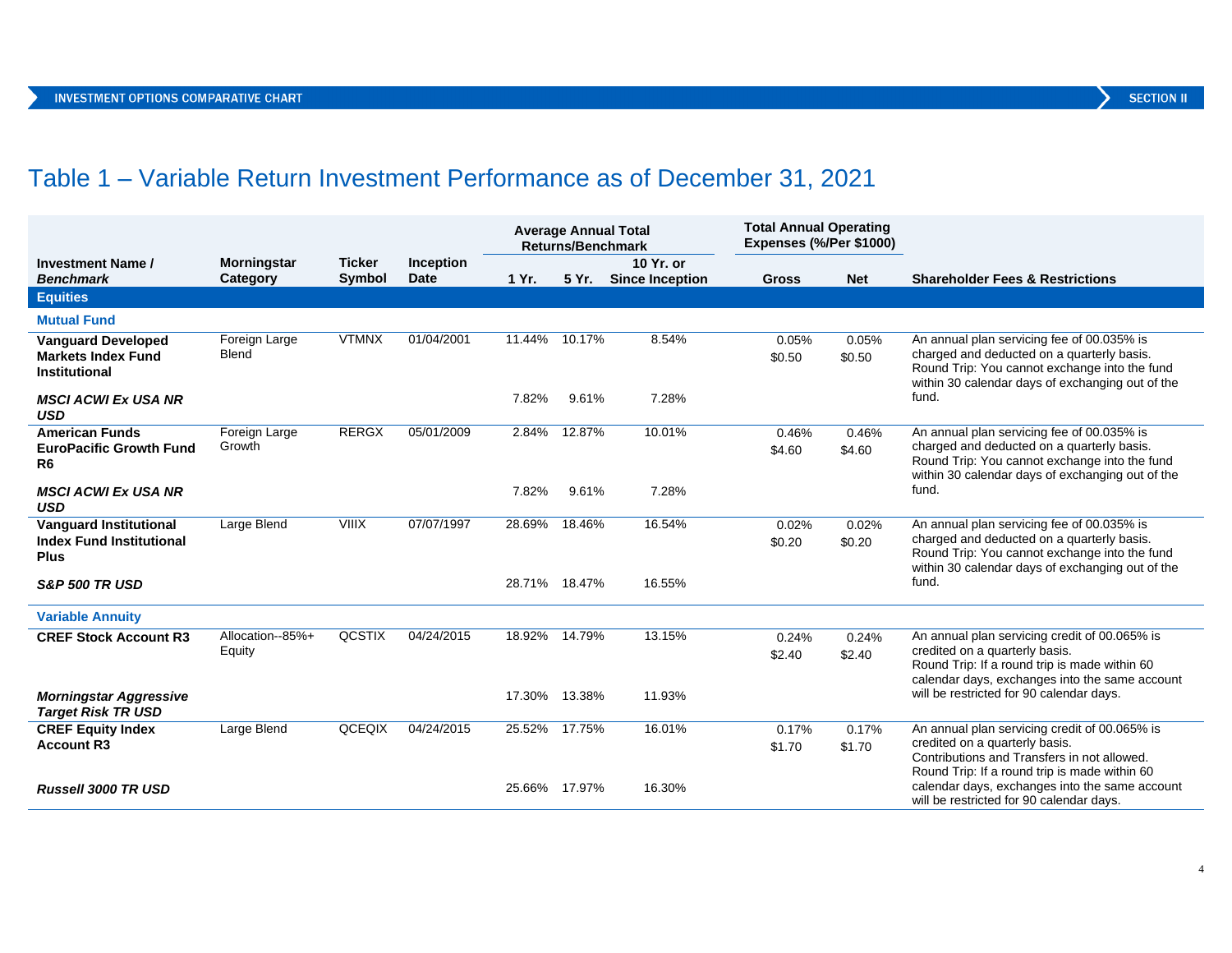## Table 1 – Variable Return Investment Performance as of December 31, 2021

|                                                                                 |                                |                                |                          | <b>Average Annual Total</b><br><b>Returns/Benchmark</b> |           | <b>Total Annual Operating</b><br><b>Expenses (%/Per \$1000)</b> |                 |                 |                                                                                                                                                                                               |
|---------------------------------------------------------------------------------|--------------------------------|--------------------------------|--------------------------|---------------------------------------------------------|-----------|-----------------------------------------------------------------|-----------------|-----------------|-----------------------------------------------------------------------------------------------------------------------------------------------------------------------------------------------|
| <b>Investment Name /</b><br><b>Benchmark</b>                                    | <b>Morningstar</b><br>Category | <b>Ticker</b><br><b>Symbol</b> | Inception<br><b>Date</b> | 1 Yr.                                                   | 5 Yr.     | 10 Yr. or<br><b>Since Inception</b>                             | <b>Gross</b>    | <b>Net</b>      | <b>Shareholder Fees &amp; Restrictions</b>                                                                                                                                                    |
| <b>Equities</b>                                                                 |                                |                                |                          |                                                         |           |                                                                 |                 |                 |                                                                                                                                                                                               |
| <b>Mutual Fund</b>                                                              |                                |                                |                          |                                                         |           |                                                                 |                 |                 |                                                                                                                                                                                               |
| <b>Vanguard Developed</b><br><b>Markets Index Fund</b><br><b>Institutional</b>  | Foreign Large<br>Blend         | <b>VTMNX</b>                   | 01/04/2001               | 11.44%                                                  | $10.17\%$ | 8.54%                                                           | 0.05%<br>\$0.50 | 0.05%<br>\$0.50 | An annual plan servicing fee of 00.035% is<br>charged and deducted on a quarterly basis.<br>Round Trip: You cannot exchange into the fund<br>within 30 calendar days of exchanging out of the |
| <b>MSCI ACWI Ex USA NR</b><br><b>USD</b>                                        |                                |                                |                          | 7.82%                                                   | 9.61%     | 7.28%                                                           |                 |                 | fund.                                                                                                                                                                                         |
| <b>American Funds</b><br><b>EuroPacific Growth Fund</b><br>R6                   | Foreign Large<br>Growth        | <b>RERGX</b>                   | 05/01/2009               | 2.84%                                                   | 12.87%    | 10.01%                                                          | 0.46%<br>\$4.60 | 0.46%<br>\$4.60 | An annual plan servicing fee of 00.035% is<br>charged and deducted on a quarterly basis.<br>Round Trip: You cannot exchange into the fund<br>within 30 calendar days of exchanging out of the |
| <b>MSCI ACWI Ex USA NR</b><br><b>USD</b>                                        |                                |                                |                          | 7.82%                                                   | 9.61%     | 7.28%                                                           |                 |                 | fund.                                                                                                                                                                                         |
| <b>Vanquard Institutional</b><br><b>Index Fund Institutional</b><br><b>Plus</b> | Large Blend                    | <b>VIIIX</b>                   | 07/07/1997               | 28.69%                                                  | 18.46%    | 16.54%                                                          | 0.02%<br>\$0.20 | 0.02%<br>\$0.20 | An annual plan servicing fee of 00.035% is<br>charged and deducted on a quarterly basis.<br>Round Trip: You cannot exchange into the fund<br>within 30 calendar days of exchanging out of the |
| <b>S&amp;P 500 TR USD</b>                                                       |                                |                                |                          | 28.71% 18.47%                                           |           | 16.55%                                                          |                 |                 | fund.                                                                                                                                                                                         |
| <b>Variable Annuity</b>                                                         |                                |                                |                          |                                                         |           |                                                                 |                 |                 |                                                                                                                                                                                               |
| <b>CREF Stock Account R3</b>                                                    | Allocation--85%+<br>Equity     | <b>QCSTIX</b>                  | 04/24/2015               | 18.92%                                                  | 14.79%    | 13.15%                                                          | 0.24%<br>\$2.40 | 0.24%<br>\$2.40 | An annual plan servicing credit of 00.065% is<br>credited on a quarterly basis.<br>Round Trip: If a round trip is made within 60<br>calendar days, exchanges into the same account            |
| <b>Morningstar Aggressive</b><br><b>Target Risk TR USD</b>                      |                                |                                |                          | 17.30% 13.38%                                           |           | 11.93%                                                          |                 |                 | will be restricted for 90 calendar days.                                                                                                                                                      |
| <b>CREF Equity Index</b><br><b>Account R3</b>                                   | Large Blend                    | QCEQIX                         | 04/24/2015               | 25.52%                                                  | 17.75%    | 16.01%                                                          | 0.17%<br>\$1.70 | 0.17%<br>\$1.70 | An annual plan servicing credit of 00.065% is<br>credited on a quarterly basis.<br>Contributions and Transfers in not allowed.<br>Round Trip: If a round trip is made within 60               |
| <b>Russell 3000 TR USD</b>                                                      |                                |                                |                          | 25.66% 17.97%                                           |           | 16.30%                                                          |                 |                 | calendar days, exchanges into the same account<br>will be restricted for 90 calendar days.                                                                                                    |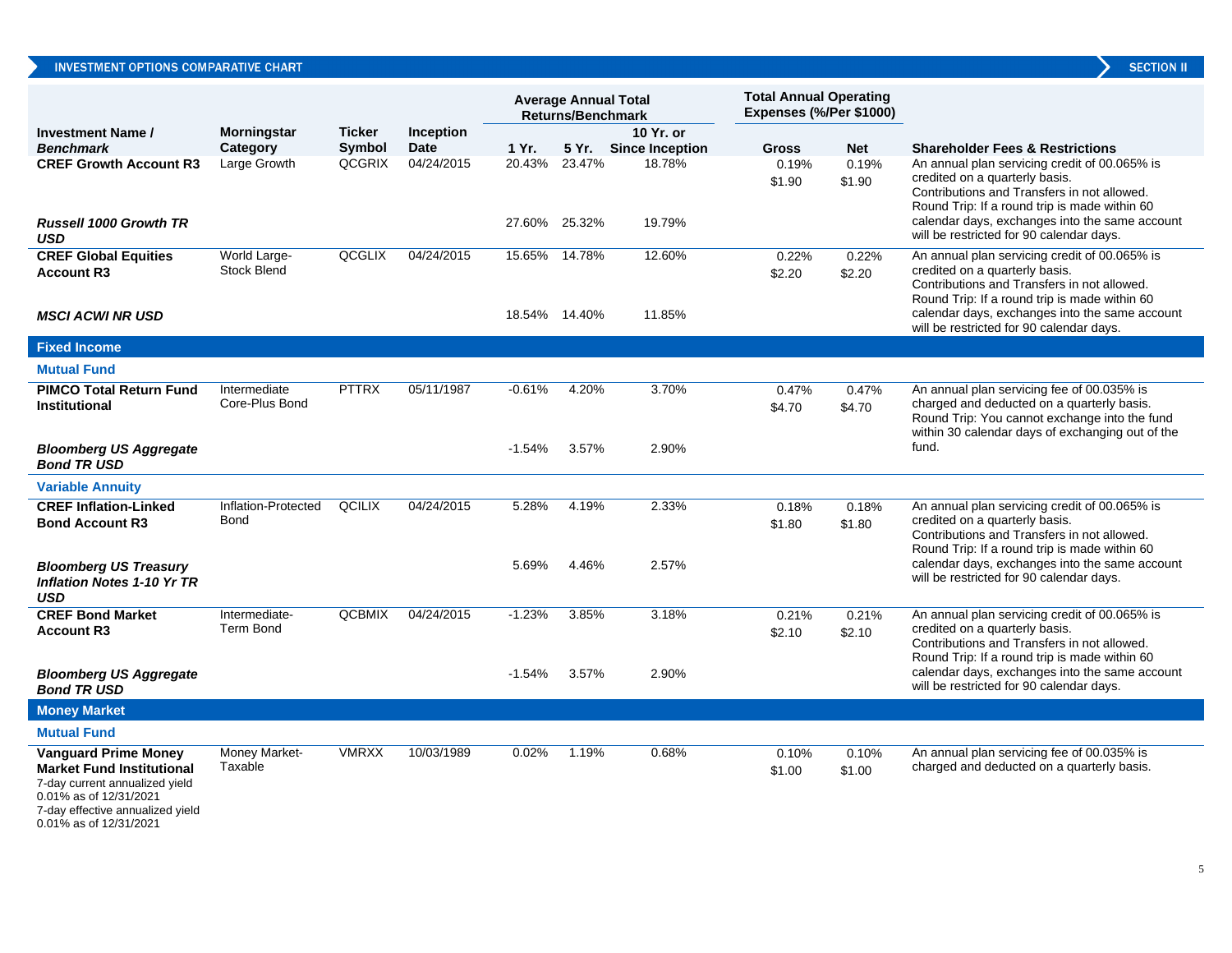|                                                                                                                                                                 |                                    |               |                  | <b>Average Annual Total</b><br><b>Returns/Benchmark</b> |                                | <b>Total Annual Operating</b><br>Expenses (%/Per \$1000) |                 |                 |                                                                                                                                                                                                                                                                               |
|-----------------------------------------------------------------------------------------------------------------------------------------------------------------|------------------------------------|---------------|------------------|---------------------------------------------------------|--------------------------------|----------------------------------------------------------|-----------------|-----------------|-------------------------------------------------------------------------------------------------------------------------------------------------------------------------------------------------------------------------------------------------------------------------------|
| <b>Investment Name /</b>                                                                                                                                        | <b>Morningstar</b>                 | <b>Ticker</b> | <b>Inception</b> |                                                         |                                | 10 Yr. or                                                |                 |                 |                                                                                                                                                                                                                                                                               |
| <b>Benchmark</b>                                                                                                                                                | Category                           | <b>Symbol</b> | <b>Date</b>      | 1 Yr.                                                   |                                | 5 Yr. Since Inception                                    | <b>Gross</b>    | <b>Net</b>      | <b>Shareholder Fees &amp; Restrictions</b>                                                                                                                                                                                                                                    |
| <b>CREF Growth Account R3</b><br><b>Russell 1000 Growth TR</b><br><b>USD</b>                                                                                    | Large Growth                       | <b>QCGRIX</b> | 04/24/2015       |                                                         | 20.43% 23.47%<br>27.60% 25.32% | 18.78%<br>19.79%                                         | 0.19%<br>\$1.90 | 0.19%<br>\$1.90 | An annual plan servicing credit of 00.065% is<br>credited on a quarterly basis.<br>Contributions and Transfers in not allowed.<br>Round Trip: If a round trip is made within 60<br>calendar days, exchanges into the same account<br>will be restricted for 90 calendar days. |
| <b>CREF Global Equities</b><br><b>Account R3</b><br><b>MSCI ACWI NR USD</b>                                                                                     | World Large-<br><b>Stock Blend</b> | QCGLIX        | 04/24/2015       |                                                         | 15.65% 14.78%<br>18.54% 14.40% | 12.60%<br>11.85%                                         | 0.22%<br>\$2.20 | 0.22%<br>\$2.20 | An annual plan servicing credit of 00.065% is<br>credited on a quarterly basis.<br>Contributions and Transfers in not allowed.<br>Round Trip: If a round trip is made within 60<br>calendar days, exchanges into the same account<br>will be restricted for 90 calendar days. |
| <b>Fixed Income</b>                                                                                                                                             |                                    |               |                  |                                                         |                                |                                                          |                 |                 |                                                                                                                                                                                                                                                                               |
| <b>Mutual Fund</b>                                                                                                                                              |                                    |               |                  |                                                         |                                |                                                          |                 |                 |                                                                                                                                                                                                                                                                               |
| <b>PIMCO Total Return Fund</b><br><b>Institutional</b>                                                                                                          | Intermediate<br>Core-Plus Bond     | <b>PTTRX</b>  | 05/11/1987       | $-0.61%$                                                | 4.20%                          | 3.70%                                                    | 0.47%<br>\$4.70 | 0.47%<br>\$4.70 | An annual plan servicing fee of 00.035% is<br>charged and deducted on a quarterly basis.<br>Round Trip: You cannot exchange into the fund<br>within 30 calendar days of exchanging out of the                                                                                 |
| <b>Bloomberg US Aggregate</b><br><b>Bond TR USD</b>                                                                                                             |                                    |               |                  | $-1.54%$                                                | 3.57%                          | 2.90%                                                    |                 |                 | fund.                                                                                                                                                                                                                                                                         |
| <b>Variable Annuity</b>                                                                                                                                         |                                    |               |                  |                                                         |                                |                                                          |                 |                 |                                                                                                                                                                                                                                                                               |
| <b>CREF Inflation-Linked</b><br><b>Bond Account R3</b>                                                                                                          | Inflation-Protected<br><b>Bond</b> | QCILIX        | 04/24/2015       | 5.28%                                                   | 4.19%                          | 2.33%                                                    | 0.18%<br>\$1.80 | 0.18%<br>\$1.80 | An annual plan servicing credit of 00.065% is<br>credited on a quarterly basis.<br>Contributions and Transfers in not allowed.<br>Round Trip: If a round trip is made within 60                                                                                               |
| <b>Bloomberg US Treasury</b><br><b>Inflation Notes 1-10 Yr TR</b><br><b>USD</b>                                                                                 |                                    |               |                  | 5.69%                                                   | 4.46%                          | 2.57%                                                    |                 |                 | calendar days, exchanges into the same account<br>will be restricted for 90 calendar days.                                                                                                                                                                                    |
| <b>CREF Bond Market</b><br><b>Account R3</b>                                                                                                                    | Intermediate-<br>Term Bond         | <b>QCBMIX</b> | 04/24/2015       | $-1.23%$                                                | 3.85%                          | 3.18%                                                    | 0.21%<br>\$2.10 | 0.21%<br>\$2.10 | An annual plan servicing credit of 00.065% is<br>credited on a quarterly basis.<br>Contributions and Transfers in not allowed.<br>Round Trip: If a round trip is made within 60                                                                                               |
| <b>Bloomberg US Aggregate</b><br><b>Bond TR USD</b>                                                                                                             |                                    |               |                  | $-1.54\%$                                               | 3.57%                          | 2.90%                                                    |                 |                 | calendar days, exchanges into the same account<br>will be restricted for 90 calendar days.                                                                                                                                                                                    |
| <b>Money Market</b>                                                                                                                                             |                                    |               |                  |                                                         |                                |                                                          |                 |                 |                                                                                                                                                                                                                                                                               |
| <b>Mutual Fund</b>                                                                                                                                              |                                    |               |                  |                                                         |                                |                                                          |                 |                 |                                                                                                                                                                                                                                                                               |
| <b>Vanguard Prime Money</b><br><b>Market Fund Institutional</b><br>7-day current annualized yield<br>0.01% as of 12/31/2021<br>7-day effective annualized yield | Money Market-<br>Taxable           | <b>VMRXX</b>  | 10/03/1989       | 0.02%                                                   | 1.19%                          | 0.68%                                                    | 0.10%<br>\$1.00 | 0.10%<br>\$1.00 | An annual plan servicing fee of 00.035% is<br>charged and deducted on a quarterly basis.                                                                                                                                                                                      |

0.01% as of 12/31/2021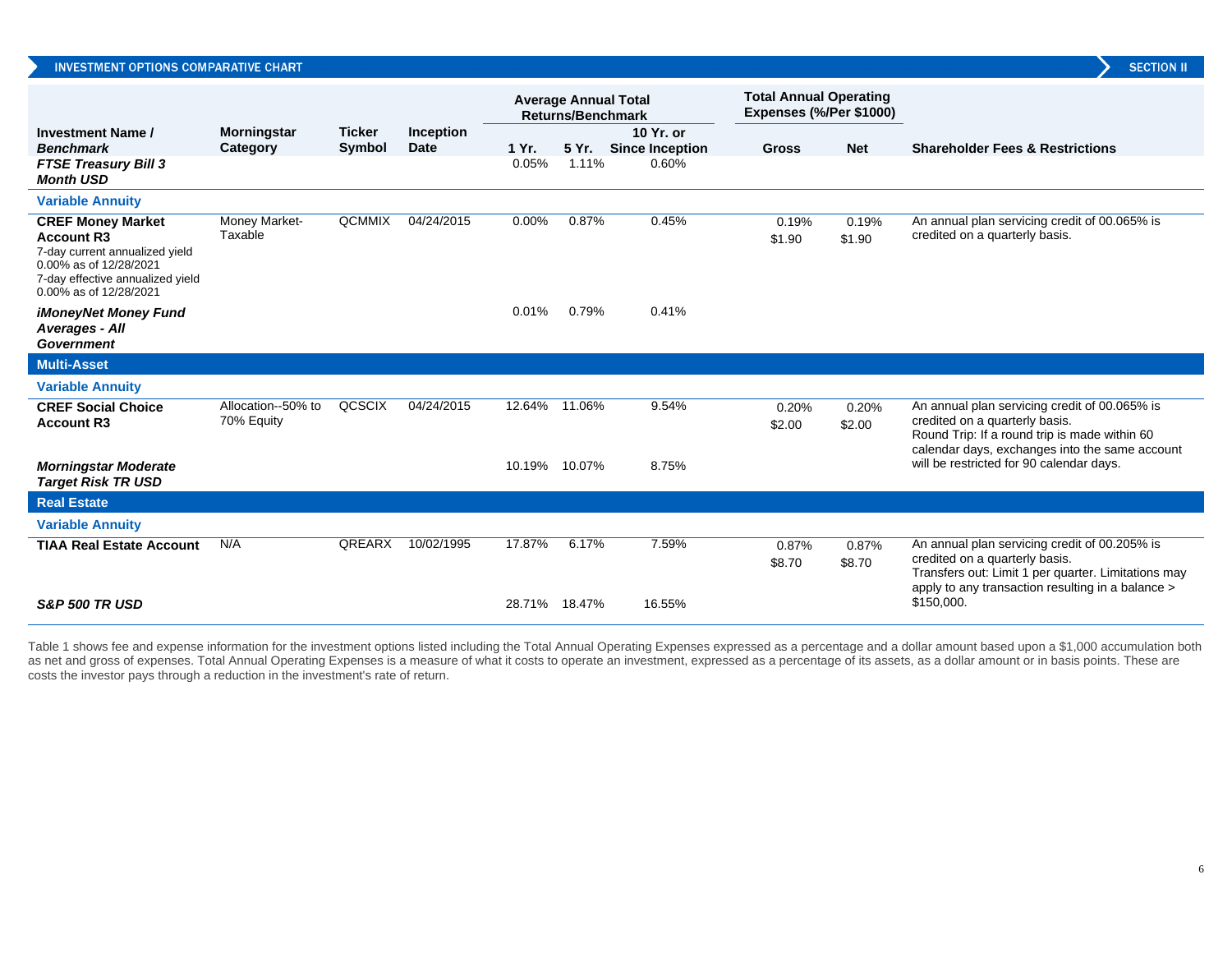|                                                                                                                                                                         |                                  |               |                          | <b>Average Annual Total</b><br><b>Returns/Benchmark</b> |       | <b>Total Annual Operating</b><br>Expenses (%/Per \$1000) |                 |                 |                                                                                                                                                                                             |
|-------------------------------------------------------------------------------------------------------------------------------------------------------------------------|----------------------------------|---------------|--------------------------|---------------------------------------------------------|-------|----------------------------------------------------------|-----------------|-----------------|---------------------------------------------------------------------------------------------------------------------------------------------------------------------------------------------|
| <b>Investment Name /</b><br><b>Benchmark</b>                                                                                                                            | <b>Morningstar</b>               | <b>Ticker</b> | Inception<br><b>Date</b> | 1 Yr.                                                   | 5 Yr. | 10 Yr. or                                                | <b>Gross</b>    | <b>Net</b>      | <b>Shareholder Fees &amp; Restrictions</b>                                                                                                                                                  |
| <b>FTSE Treasury Bill 3</b><br><b>Month USD</b>                                                                                                                         | Category                         | Symbol        |                          | 0.05%                                                   | 1.11% | <b>Since Inception</b><br>0.60%                          |                 |                 |                                                                                                                                                                                             |
| <b>Variable Annuity</b>                                                                                                                                                 |                                  |               |                          |                                                         |       |                                                          |                 |                 |                                                                                                                                                                                             |
| <b>CREF Money Market</b><br><b>Account R3</b><br>7-day current annualized yield<br>0.00% as of 12/28/2021<br>7-day effective annualized yield<br>0.00% as of 12/28/2021 | Money Market-<br>Taxable         | <b>QCMMIX</b> | 04/24/2015               | $0.00\%$                                                | 0.87% | 0.45%                                                    | 0.19%<br>\$1.90 | 0.19%<br>\$1.90 | An annual plan servicing credit of 00.065% is<br>credited on a quarterly basis.                                                                                                             |
| <b>iMoneyNet Money Fund</b><br>Averages - All<br><b>Government</b>                                                                                                      |                                  |               |                          | 0.01%                                                   | 0.79% | 0.41%                                                    |                 |                 |                                                                                                                                                                                             |
| <b>Multi-Asset</b>                                                                                                                                                      |                                  |               |                          |                                                         |       |                                                          |                 |                 |                                                                                                                                                                                             |
| <b>Variable Annuity</b>                                                                                                                                                 |                                  |               |                          |                                                         |       |                                                          |                 |                 |                                                                                                                                                                                             |
| <b>CREF Social Choice</b><br><b>Account R3</b>                                                                                                                          | Allocation--50% to<br>70% Equity | QCSCIX        | 04/24/2015               | 12.64% 11.06%                                           |       | 9.54%                                                    | 0.20%<br>\$2.00 | 0.20%<br>\$2.00 | An annual plan servicing credit of 00.065% is<br>credited on a quarterly basis.<br>Round Trip: If a round trip is made within 60<br>calendar days, exchanges into the same account          |
| <b>Morningstar Moderate</b><br><b>Target Risk TR USD</b>                                                                                                                |                                  |               |                          | 10.19% 10.07%                                           |       | 8.75%                                                    |                 |                 | will be restricted for 90 calendar days.                                                                                                                                                    |
| <b>Real Estate</b>                                                                                                                                                      |                                  |               |                          |                                                         |       |                                                          |                 |                 |                                                                                                                                                                                             |
| <b>Variable Annuity</b>                                                                                                                                                 |                                  |               |                          |                                                         |       |                                                          |                 |                 |                                                                                                                                                                                             |
| <b>TIAA Real Estate Account</b>                                                                                                                                         | N/A                              | <b>QREARX</b> | 10/02/1995               | 17.87%                                                  | 6.17% | 7.59%                                                    | 0.87%<br>\$8.70 | 0.87%<br>\$8.70 | An annual plan servicing credit of 00.205% is<br>credited on a quarterly basis.<br>Transfers out: Limit 1 per quarter. Limitations may<br>apply to any transaction resulting in a balance > |
| <b>S&amp;P 500 TR USD</b>                                                                                                                                               |                                  |               |                          | 28.71% 18.47%                                           |       | 16.55%                                                   |                 |                 | \$150,000.                                                                                                                                                                                  |

Table 1 shows fee and expense information for the investment options listed including the Total Annual Operating Expenses expressed as a percentage and a dollar amount based upon a \$1,000 accumulation both as net and gross of expenses. Total Annual Operating Expenses is a measure of what it costs to operate an investment, expressed as a percentage of its assets, as a dollar amount or in basis points. These are costs the investor pays through a reduction in the investment's rate of return.

**SECTION II**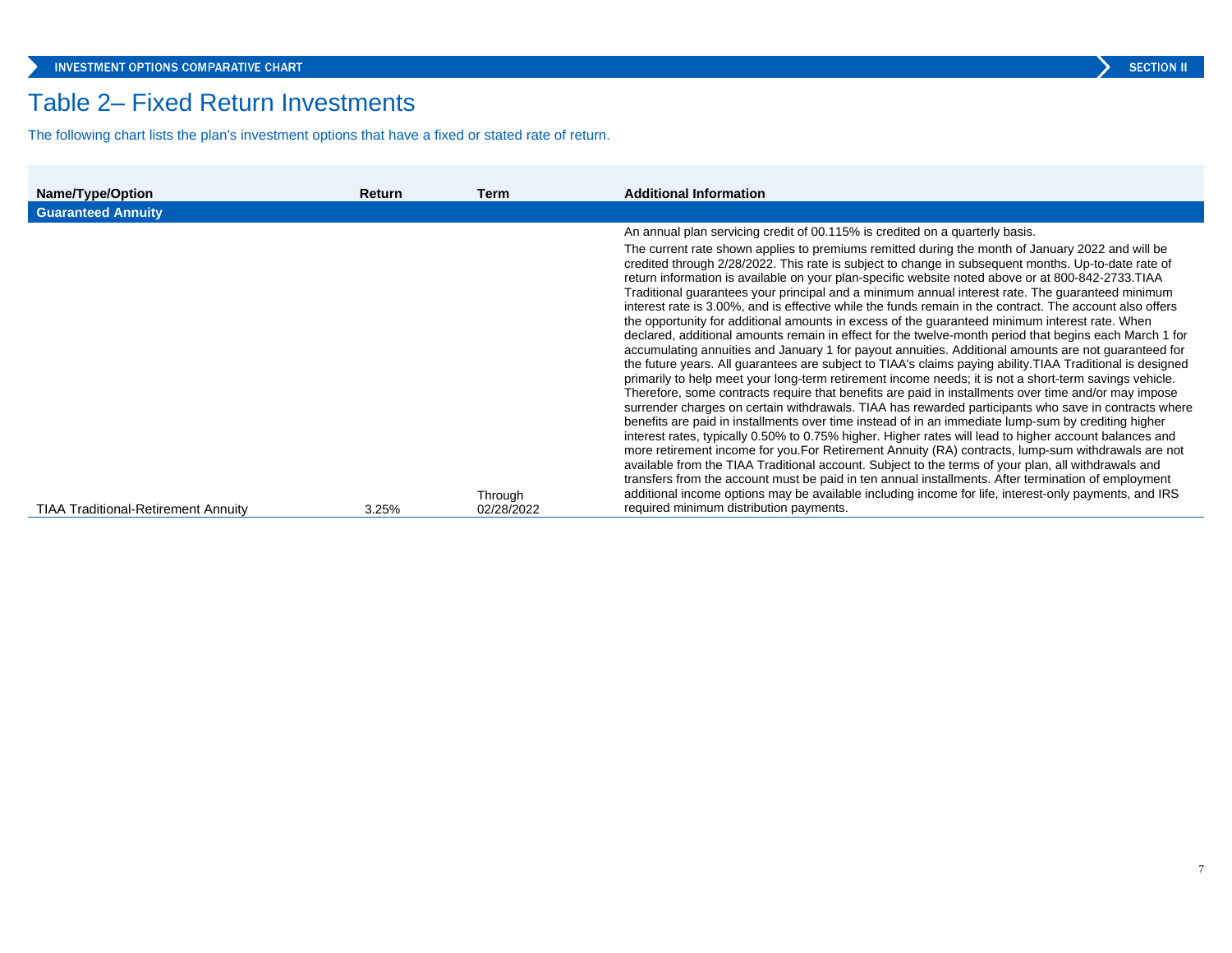## Table 2– Fixed Return Investments

The following chart lists the plan's investment options that have a fixed or stated rate of return.

| Name/Type/Option                           | <b>Return</b> | Term       | <b>Additional Information</b>                                                                                                                                                                                                                                                                                                                                                                                                                                                                                                                                                                                                                                                                                                                                                                                                                                                                                                                                                                                                                                                                                                                                                                                                                                                                                                                                                                                                                                                                                                                                                                                                                                                                                                                                                                                                                                                                                                            |
|--------------------------------------------|---------------|------------|------------------------------------------------------------------------------------------------------------------------------------------------------------------------------------------------------------------------------------------------------------------------------------------------------------------------------------------------------------------------------------------------------------------------------------------------------------------------------------------------------------------------------------------------------------------------------------------------------------------------------------------------------------------------------------------------------------------------------------------------------------------------------------------------------------------------------------------------------------------------------------------------------------------------------------------------------------------------------------------------------------------------------------------------------------------------------------------------------------------------------------------------------------------------------------------------------------------------------------------------------------------------------------------------------------------------------------------------------------------------------------------------------------------------------------------------------------------------------------------------------------------------------------------------------------------------------------------------------------------------------------------------------------------------------------------------------------------------------------------------------------------------------------------------------------------------------------------------------------------------------------------------------------------------------------------|
| <b>Guaranteed Annuity</b>                  |               |            |                                                                                                                                                                                                                                                                                                                                                                                                                                                                                                                                                                                                                                                                                                                                                                                                                                                                                                                                                                                                                                                                                                                                                                                                                                                                                                                                                                                                                                                                                                                                                                                                                                                                                                                                                                                                                                                                                                                                          |
|                                            |               |            | An annual plan servicing credit of 00.115% is credited on a quarterly basis.                                                                                                                                                                                                                                                                                                                                                                                                                                                                                                                                                                                                                                                                                                                                                                                                                                                                                                                                                                                                                                                                                                                                                                                                                                                                                                                                                                                                                                                                                                                                                                                                                                                                                                                                                                                                                                                             |
|                                            |               | Through    | The current rate shown applies to premiums remitted during the month of January 2022 and will be<br>credited through 2/28/2022. This rate is subject to change in subsequent months. Up-to-date rate of<br>return information is available on your plan-specific website noted above or at 800-842-2733. TIAA<br>Traditional quarantees your principal and a minimum annual interest rate. The quaranteed minimum<br>interest rate is 3.00%, and is effective while the funds remain in the contract. The account also offers<br>the opportunity for additional amounts in excess of the guaranteed minimum interest rate. When<br>declared, additional amounts remain in effect for the twelve-month period that begins each March 1 for<br>accumulating annuities and January 1 for payout annuities. Additional amounts are not guaranteed for<br>the future years. All quarantees are subject to TIAA's claims paying ability. TIAA Traditional is designed<br>primarily to help meet your long-term retirement income needs; it is not a short-term savings vehicle.<br>Therefore, some contracts require that benefits are paid in installments over time and/or may impose<br>surrender charges on certain withdrawals. TIAA has rewarded participants who save in contracts where<br>benefits are paid in installments over time instead of in an immediate lump-sum by crediting higher<br>interest rates, typically 0.50% to 0.75% higher. Higher rates will lead to higher account balances and<br>more retirement income for you. For Retirement Annuity (RA) contracts, lump-sum withdrawals are not<br>available from the TIAA Traditional account. Subject to the terms of your plan, all withdrawals and<br>transfers from the account must be paid in ten annual installments. After termination of employment<br>additional income options may be available including income for life, interest-only payments, and IRS |
| <b>TIAA Traditional-Retirement Annuity</b> | 3.25%         | 02/28/2022 | required minimum distribution payments.                                                                                                                                                                                                                                                                                                                                                                                                                                                                                                                                                                                                                                                                                                                                                                                                                                                                                                                                                                                                                                                                                                                                                                                                                                                                                                                                                                                                                                                                                                                                                                                                                                                                                                                                                                                                                                                                                                  |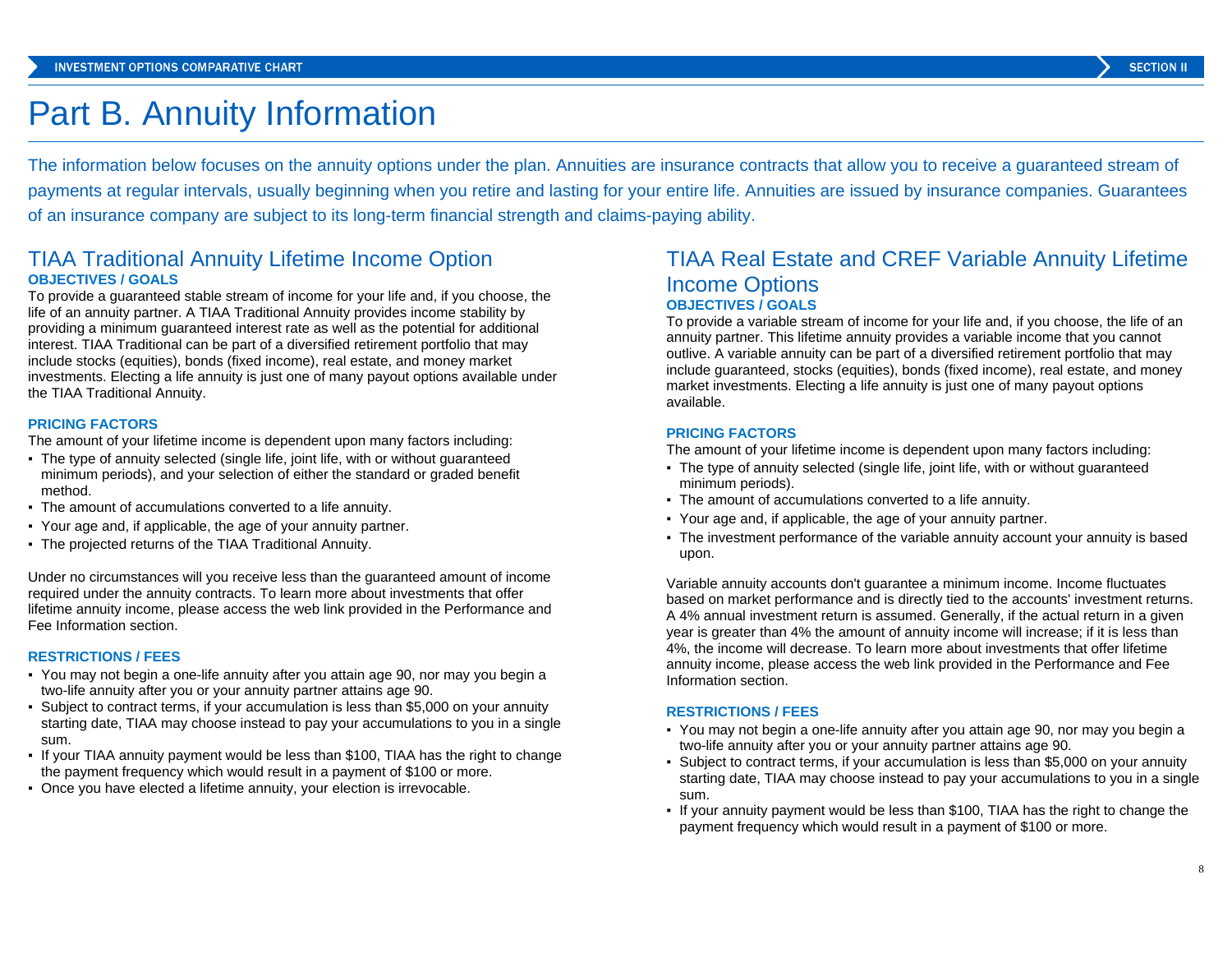## Part B. Annuity Information

The information below focuses on the annuity options under the plan. Annuities are insurance contracts that allow you to receive a guaranteed stream of payments at regular intervals, usually beginning when you retire and lasting for your entire life. Annuities are issued by insurance companies. Guarantees of an insurance company are subject to its long-term financial strength and claims-paying ability.

## TIAA Traditional Annuity Lifetime Income Option **OBJECTIVES / GOALS**

To provide a guaranteed stable stream of income for your life and, if you choose, the life of an annuity partner. A TIAA Traditional Annuity provides income stability by providing a minimum guaranteed interest rate as well as the potential for additional interest. TIAA Traditional can be part of a diversified retirement portfolio that may include stocks (equities), bonds (fixed income), real estate, and money market investments. Electing a life annuity is just one of many payout options available under the TIAA Traditional Annuity.

### **PRICING FACTORS**

The amount of your lifetime income is dependent upon many factors including:

- The type of annuity selected (single life, joint life, with or without guaranteed minimum periods), and your selection of either the standard or graded benefit method.
- The amount of accumulations converted to a life annuity.
- Your age and, if applicable, the age of your annuity partner.
- The projected returns of the TIAA Traditional Annuity.

Under no circumstances will you receive less than the guaranteed amount of income required under the annuity contracts. To learn more about investments that offer lifetime annuity income, please access the web link provided in the Performance and Fee Information section.

#### **RESTRICTIONS / FEES**

- You may not begin a one-life annuity after you attain age 90, nor may you begin a two-life annuity after you or your annuity partner attains age 90.
- Subject to contract terms, if your accumulation is less than \$5,000 on your annuity starting date, TIAA may choose instead to pay your accumulations to you in a single sum.
- If your TIAA annuity payment would be less than \$100, TIAA has the right to change the payment frequency which would result in a payment of \$100 or more.
- Once you have elected a lifetime annuity, your election is irrevocable.

## TIAA Real Estate and CREF Variable Annuity Lifetime Income Options **OBJECTIVES / GOALS**

To provide a variable stream of income for your life and, if you choose, the life of an annuity partner. This lifetime annuity provides a variable income that you cannot outlive. A variable annuity can be part of a diversified retirement portfolio that may include guaranteed, stocks (equities), bonds (fixed income), real estate, and money market investments. Electing a life annuity is just one of many payout options available.

#### **PRICING FACTORS**

The amount of your lifetime income is dependent upon many factors including:

- The type of annuity selected (single life, joint life, with or without guaranteed minimum periods).
- The amount of accumulations converted to a life annuity.
- Your age and, if applicable, the age of your annuity partner.
- The investment performance of the variable annuity account your annuity is based upon.

Variable annuity accounts don't guarantee a minimum income. Income fluctuates based on market performance and is directly tied to the accounts' investment returns. A 4% annual investment return is assumed. Generally, if the actual return in a given year is greater than 4% the amount of annuity income will increase; if it is less than 4%, the income will decrease. To learn more about investments that offer lifetime annuity income, please access the web link provided in the Performance and Fee Information section.

#### **RESTRICTIONS / FEES**

- You may not begin a one-life annuity after you attain age 90, nor may you begin a two-life annuity after you or your annuity partner attains age 90.
- Subject to contract terms, if your accumulation is less than \$5,000 on your annuity starting date, TIAA may choose instead to pay your accumulations to you in a single sum.
- If your annuity payment would be less than \$100, TIAA has the right to change the payment frequency which would result in a payment of \$100 or more.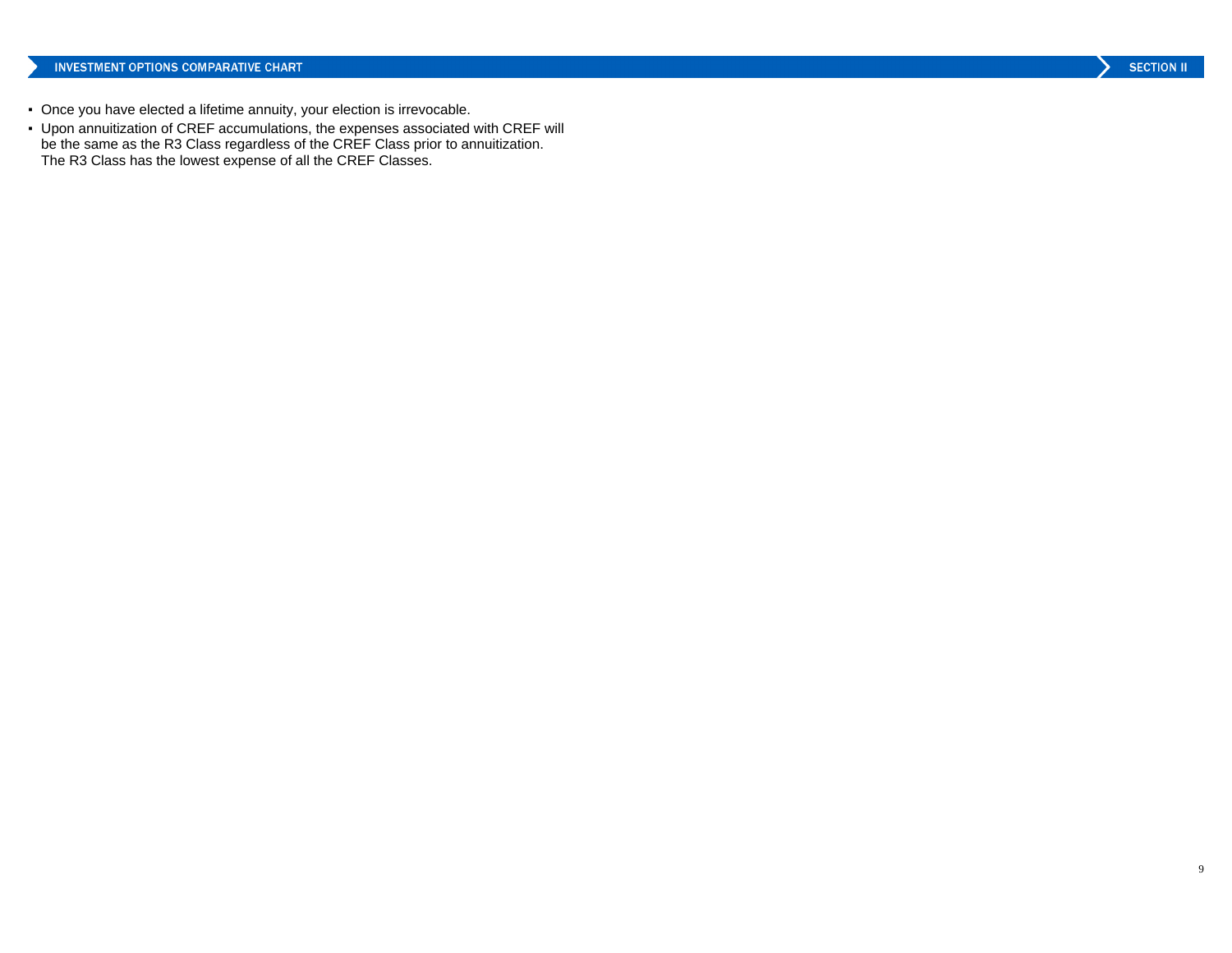- Once you have elected a lifetime annuity, your election is irrevocable.
- Upon annuitization of CREF accumulations, the expenses associated with CREF will be the same as the R3 Class regardless of the CREF Class prior to annuitization. The R3 Class has the lowest expense of all the CREF Classes.